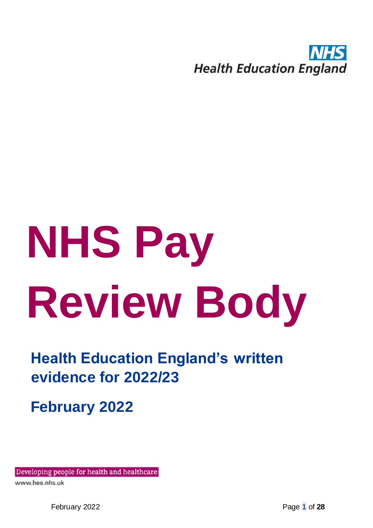

# **NHS Pay Review Body**

**Health Education England's written evidence for 2022/23**

**February 2022**

Developing people for health and healthcare

www.hee.nhs.uk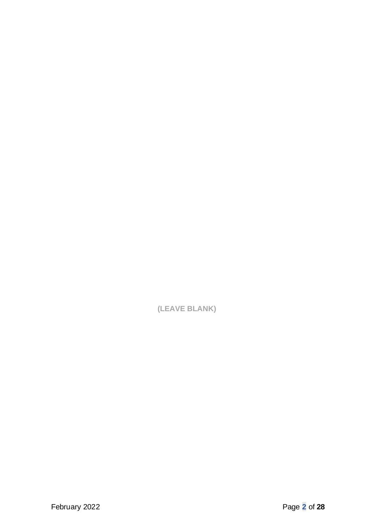**(LEAVE BLANK)**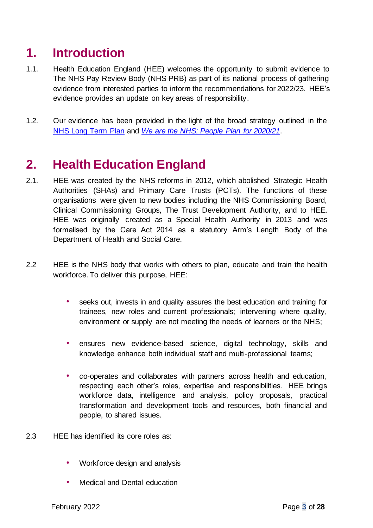# **1. Introduction**

- 1.1. Health Education England (HEE) welcomes the opportunity to submit evidence to The NHS Pay Review Body (NHS PRB) as part of its national process of gathering evidence from interested parties to inform the recommendations for 2022/23. HEE's evidence provides an update on key areas of responsibility.
- 1.2. Our evidence has been provided in the light of the broad strategy outlined in the [NHS Long Term Plan](https://www.longtermplan.nhs.uk/online-version/) an[d](https://www.england.nhs.uk/ournhspeople/) *[We are the NHS: People Plan for 2020/21](https://www.england.nhs.uk/ournhspeople/)*[.](https://www.england.nhs.uk/ournhspeople/)

# **2. Health Education England**

- 2.1. HEE was created by the NHS reforms in 2012, which abolished Strategic Health Authorities (SHAs) and Primary Care Trusts (PCTs). The functions of these organisations were given to new bodies including the NHS Commissioning Board, Clinical Commissioning Groups, The Trust Development Authority, and to HEE. HEE was originally created as a Special Health Authority in 2013 and was formalised by the Care Act 2014 as a statutory Arm's Length Body of the Department of Health and Social Care.
- 2.2 HEE is the NHS body that works with others to plan, educate and train the health workforce. To deliver this purpose, HEE:
	- seeks out, invests in and quality assures the best education and training for trainees, new roles and current professionals; intervening where quality, environment or supply are not meeting the needs of learners or the NHS;
	- ensures new evidence-based science, digital technology, skills and knowledge enhance both individual staff and multi-professional teams;
	- co-operates and collaborates with partners across health and education, respecting each other's roles, expertise and responsibilities. HEE brings workforce data, intelligence and analysis, policy proposals, practical transformation and development tools and resources, both financial and people, to shared issues.
- 2.3 HEE has identified its core roles as:
	- Workforce design and analysis
	- Medical and Dental education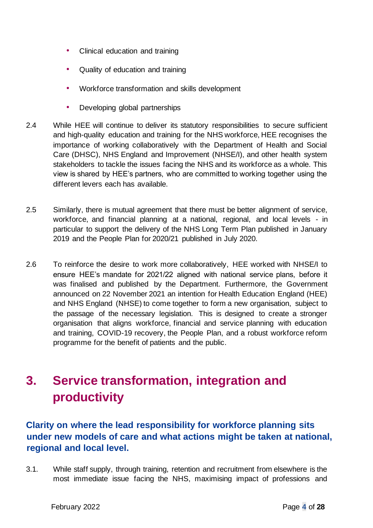- Clinical education and training
- Quality of education and training
- Workforce transformation and skills development
- Developing global partnerships
- 2.4 While HEE will continue to deliver its statutory responsibilities to secure sufficient and high-quality education and training for the NHS workforce, HEE recognises the importance of working collaboratively with the Department of Health and Social Care (DHSC), NHS England and Improvement (NHSE/I), and other health system stakeholders to tackle the issues facing the NHS and its workforce as a whole. This view is shared by HEE's partners, who are committed to working together using the different levers each has available.
- 2.5 Similarly, there is mutual agreement that there must be better alignment of service, workforce, and financial planning at a national, regional, and local levels - in particular to support the delivery of the NHS Long Term Plan published in January 2019 and the People Plan for 2020/21 published in July 2020.
- 2.6 To reinforce the desire to work more collaboratively, HEE worked with NHSE/I to ensure HEE's mandate for 2021/22 aligned with national service plans, before it was finalised and published by the Department. Furthermore, the Government announced on 22 November 2021 an intention for Health Education England (HEE) and NHS England (NHSE) to come together to form a new organisation, subject to the passage of the necessary legislation. This is designed to create a stronger organisation that aligns workforce, financial and service planning with education and training, COVID-19 recovery, the People Plan, and a robust workforce reform programme for the benefit of patients and the public.

# **3. Service transformation, integration and productivity**

# **Clarity on where the lead responsibility for workforce planning sits under new models of care and what actions might be taken at national, regional and local level.**

3.1. While staff supply, through training, retention and recruitment from elsewhere is the most immediate issue facing the NHS, maximising impact of professions and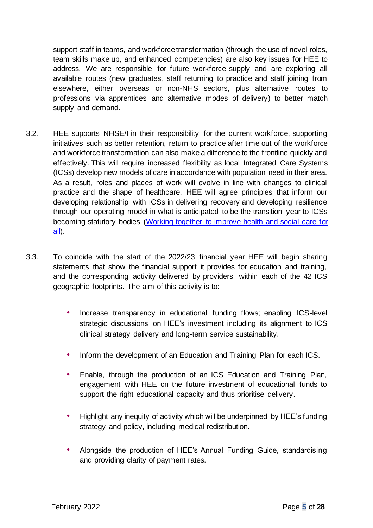support staff in teams, and workforce transformation (through the use of novel roles, team skills make up, and enhanced competencies) are also key issues for HEE to address. We are responsible for future workforce supply and are exploring all available routes (new graduates, staff returning to practice and staff joining from elsewhere, either overseas or non-NHS sectors, plus alternative routes to professions via apprentices and alternative modes of delivery) to better match supply and demand.

- 3.2. HEE supports NHSE/I in their responsibility for the current workforce, supporting initiatives such as better retention, return to practice after time out of the workforce and workforce transformation can also make a difference to the frontline quickly and effectively. This will require increased flexibility as local Integrated Care Systems (ICSs) develop new models of care in accordance with population need in their area. As a result, roles and places of work will evolve in line with changes to clinical practice and the shape of healthcare. HEE will agree principles that inform our developing relationship with ICSs in delivering recovery and developing resilience through our operating model in what is anticipated to be the transition year to ICSs becoming statutory bodies [\(Working together to improve health and social care](https://www.gov.uk/government/publications/working-together-to-improve-health-and-social-care-for-all) [for](https://www.gov.uk/government/publications/working-together-to-improve-health-and-social-care-for-all)  [all\).](https://www.gov.uk/government/publications/working-together-to-improve-health-and-social-care-for-all)
- 3.3. To coincide with the start of the 2022/23 financial year HEE will begin sharing statements that show the financial support it provides for education and training, and the corresponding activity delivered by providers, within each of the 42 ICS geographic footprints. The aim of this activity is to:
	- Increase transparency in educational funding flows; enabling ICS-level strategic discussions on HEE's investment including its alignment to ICS clinical strategy delivery and long-term service sustainability.
	- Inform the development of an Education and Training Plan for each ICS.
	- Enable, through the production of an ICS Education and Training Plan, engagement with HEE on the future investment of educational funds to support the right educational capacity and thus prioritise delivery.
	- Highlight any inequity of activity which will be underpinned by HEE's funding strategy and policy, including medical redistribution.
	- Alongside the production of HEE's Annual Funding Guide, standardising and providing clarity of payment rates.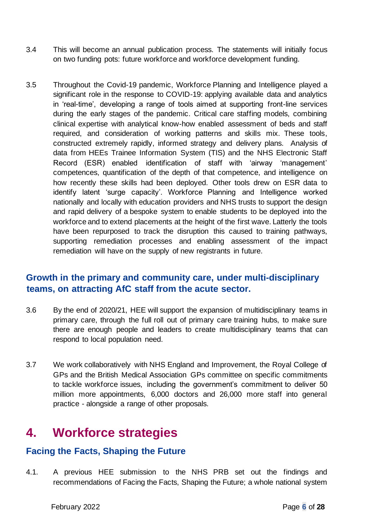- 3.4 This will become an annual publication process. The statements will initially focus on two funding pots: future workforce and workforce development funding.
- 3.5 Throughout the Covid-19 pandemic, Workforce Planning and Intelligence played a significant role in the response to COVID-19: applying available data and analytics in 'real-time', developing a range of tools aimed at supporting front-line services during the early stages of the pandemic. Critical care staffing models, combining clinical expertise with analytical know-how enabled assessment of beds and staff required, and consideration of working patterns and skills mix. These tools, constructed extremely rapidly, informed strategy and delivery plans. Analysis of data from HEEs Trainee Information System (TIS) and the NHS Electronic Staff Record (ESR) enabled identification of staff with 'airway 'management' competences, quantification of the depth of that competence, and intelligence on how recently these skills had been deployed. Other tools drew on ESR data to identify latent 'surge capacity'. Workforce Planning and Intelligence worked nationally and locally with education providers and NHS trusts to support the design and rapid delivery of a bespoke system to enable students to be deployed into the workforce and to extend placements at the height of the first wave. Latterly the tools have been repurposed to track the disruption this caused to training pathways, supporting remediation processes and enabling assessment of the impact remediation will have on the supply of new registrants in future.

# **Growth in the primary and community care, under multi-disciplinary teams, on attracting AfC staff from the acute sector.**

- 3.6 By the end of 2020/21, HEE will support the expansion of multidisciplinary teams in primary care, through the full roll out of primary care training hubs, to make sure there are enough people and leaders to create multidisciplinary teams that can respond to local population need.
- 3.7 We work collaboratively with NHS England and Improvement, the Royal College of GPs and the British Medical Association GPs committee on specific commitments to tackle workforce issues, including the government's commitment to deliver 50 million more appointments, 6,000 doctors and 26,000 more staff into general practice - alongside a range of other proposals.

# **4. Workforce strategies**

## **Facing the Facts, Shaping the Future**

4.1. A previous HEE submission to the NHS PRB set out the findings and recommendations of Facing the Facts, Shaping the Future; a whole national system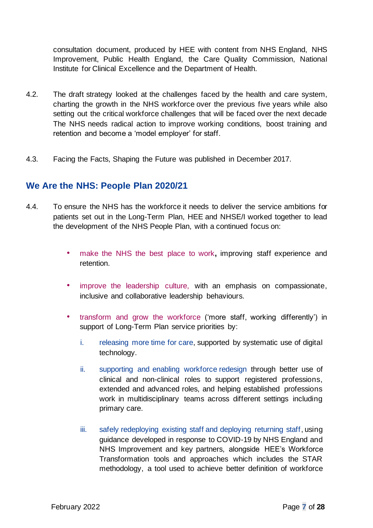consultation document, produced by HEE with content from NHS England, NHS Improvement, Public Health England, the Care Quality Commission, National Institute for Clinical Excellence and the Department of Health.

- 4.2. The draft strategy looked at the challenges faced by the health and care system, charting the growth in the NHS workforce over the previous five years while also setting out the critical workforce challenges that will be faced over the next decade The NHS needs radical action to improve working conditions, boost training and retention and become a 'model employer' for staff.
- 4.3. Facing the Facts, Shaping the Future was published in December 2017.

## **We Are the NHS: People Plan 2020/21**

- 4.4. To ensure the NHS has the workforce it needs to deliver the service ambitions for patients set out in the Long-Term Plan, HEE and NHSE/I worked together to lead the development of the NHS People Plan, with a continued focus on:
	- make the NHS the best place to work**,** improving staff experience and retention.
	- improve the leadership culture, with an emphasis on compassionate, inclusive and collaborative leadership behaviours.
	- transform and grow the workforce ('more staff, working differently') in support of Long-Term Plan service priorities by:
		- i. releasing more time for care, supported by systematic use of digital technology.
		- ii. supporting and enabling workforce redesign through better use of clinical and non-clinical roles to support registered professions, extended and advanced roles, and helping established professions work in multidisciplinary teams across different settings including primary care.
		- iii. safely redeploying existing staff and deploying returning staff, using guidance developed in response to COVID-19 by NHS England and NHS Improvement and key partners, alongside HEE's Workforce Transformation tools and approaches which includes the STAR methodology, a tool used to achieve better definition of workforce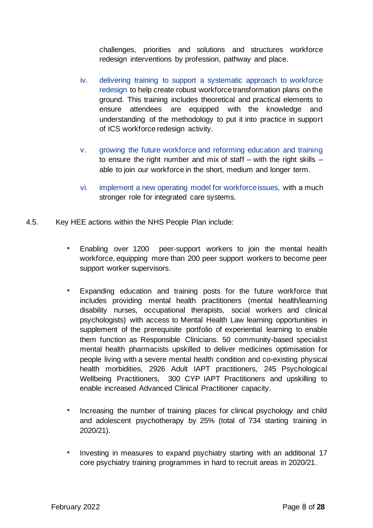challenges, priorities and solutions and structures workforce redesign interventions by profession, pathway and place.

- iv. delivering training to support a systematic approach to workforce redesign to help create robust workforce transformation plans on the ground. This training includes theoretical and practical elements to ensure attendees are equipped with the knowledge and understanding of the methodology to put it into practice in support of ICS workforce redesign activity.
- v. growing the future workforce and reforming education and training to ensure the right number and mix of staff – with the right skills  $$ able to join our workforce in the short, medium and longer term.
- vi. implement a new operating model for workforce issues, with a much stronger role for integrated care systems.
- 4.5. Key HEE actions within the NHS People Plan include:
	- Enabling over 1200 peer-support workers to join the mental health workforce, equipping more than 200 peer support workers to become peer support worker supervisors.
	- Expanding education and training posts for the future workforce that includes providing mental health practitioners (mental health/learning disability nurses, occupational therapists, social workers and clinical psychologists) with access to Mental Health Law learning opportunities in supplement of the prerequisite portfolio of experiential learning to enable them function as Responsible Clinicians. 50 community-based specialist mental health pharmacists upskilled to deliver medicines optimisation for people living with a severe mental health condition and co-existing physical health morbidities, 2926 Adult IAPT practitioners, 245 Psychological Wellbeing Practitioners, 300 CYP IAPT Practitioners and upskilling to enable increased Advanced Clinical Practitioner capacity.
	- Increasing the number of training places for clinical psychology and child and adolescent psychotherapy by 25% (total of 734 starting training in 2020/21).
	- Investing in measures to expand psychiatry starting with an additional 17 core psychiatry training programmes in hard to recruit areas in 2020/21.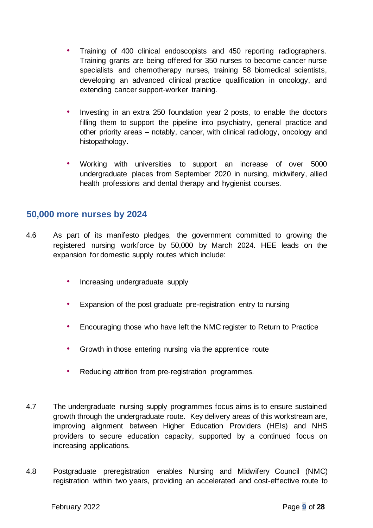- Training of 400 clinical endoscopists and 450 reporting radiographers. Training grants are being offered for 350 nurses to become cancer nurse specialists and chemotherapy nurses, training 58 biomedical scientists, developing an advanced clinical practice qualification in oncology, and extending cancer support-worker training.
- Investing in an extra 250 foundation year 2 posts, to enable the doctors filling them to support the pipeline into psychiatry, general practice and other priority areas – notably, cancer, with clinical radiology, oncology and histopathology.
- Working with universities to support an increase of over 5000 undergraduate places from September 2020 in nursing, midwifery, allied health professions and dental therapy and hygienist courses.

### **50,000 more nurses by 2024**

- 4.6 As part of its manifesto pledges, the government committed to growing the registered nursing workforce by 50,000 by March 2024. HEE leads on the expansion for domestic supply routes which include:
	- Increasing undergraduate supply
	- Expansion of the post graduate pre-registration entry to nursing
	- Encouraging those who have left the NMC register to Return to Practice
	- Growth in those entering nursing via the apprentice route
	- Reducing attrition from pre-registration programmes.
- 4.7 The undergraduate nursing supply programmes focus aims is to ensure sustained growth through the undergraduate route. Key delivery areas of this workstream are, improving alignment between Higher Education Providers (HEIs) and NHS providers to secure education capacity, supported by a continued focus on increasing applications.
- 4.8 Postgraduate preregistration enables Nursing and Midwifery Council (NMC) registration within two years, providing an accelerated and cost-effective route to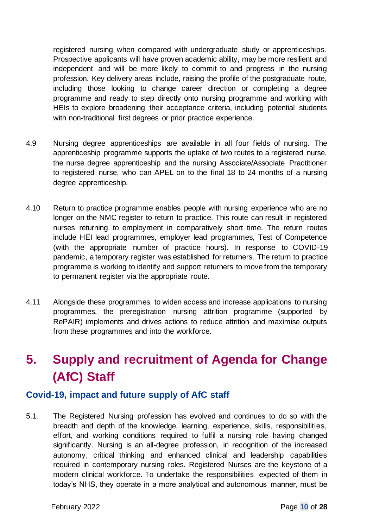registered nursing when compared with undergraduate study or apprenticeships. Prospective applicants will have proven academic ability, may be more resilient and independent and will be more likely to commit to and progress in the nursing profession. Key delivery areas include, raising the profile of the postgraduate route, including those looking to change career direction or completing a degree programme and ready to step directly onto nursing programme and working with HEIs to explore broadening their acceptance criteria, including potential students with non-traditional first degrees or prior practice experience.

- 4.9 Nursing degree apprenticeships are available in all four fields of nursing. The apprenticeship programme supports the uptake of two routes to a registered nurse, the nurse degree apprenticeship and the nursing Associate/Associate Practitioner to registered nurse, who can APEL on to the final 18 to 24 months of a nursing degree apprenticeship.
- 4.10 Return to practice programme enables people with nursing experience who are no longer on the NMC register to return to practice. This route can result in registered nurses returning to employment in comparatively short time. The return routes include HEI lead programmes, employer lead programmes, Test of Competence (with the appropriate number of practice hours). In response to COVID-19 pandemic, a temporary register was established for returners. The return to practice programme is working to identify and support returners to move from the temporary to permanent register via the appropriate route.
- 4.11 Alongside these programmes, to widen access and increase applications to nursing programmes, the preregistration nursing attrition programme (supported by RePAIR) implements and drives actions to reduce attrition and maximise outputs from these programmes and into the workforce.

# **5. Supply and recruitment of Agenda for Change (AfC) Staff**

### **Covid-19, impact and future supply of AfC staff**

5.1. The Registered Nursing profession has evolved and continues to do so with the breadth and depth of the knowledge, learning, experience, skills, responsibilities, effort, and working conditions required to fulfil a nursing role having changed significantly. Nursing is an all-degree profession, in recognition of the increased autonomy, critical thinking and enhanced clinical and leadership capabilities required in contemporary nursing roles. Registered Nurses are the keystone of a modern clinical workforce. To undertake the responsibilities expected of them in today's NHS, they operate in a more analytical and autonomous manner, must be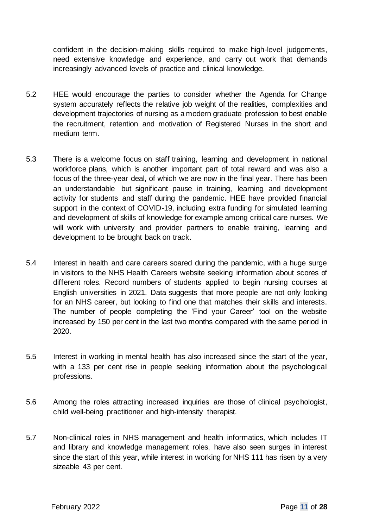confident in the decision-making skills required to make high-level judgements, need extensive knowledge and experience, and carry out work that demands increasingly advanced levels of practice and clinical knowledge.

- 5.2 HEE would encourage the parties to consider whether the Agenda for Change system accurately reflects the relative job weight of the realities, complexities and development trajectories of nursing as a modern graduate profession to best enable the recruitment, retention and motivation of Registered Nurses in the short and medium term.
- 5.3 There is a welcome focus on staff training, learning and development in national workforce plans, which is another important part of total reward and was also a focus of the three-year deal, of which we are now in the final year. There has been an understandable but significant pause in training, learning and development activity for students and staff during the pandemic. HEE have provided financial support in the context of COVID-19, including extra funding for simulated learning and development of skills of knowledge for example among critical care nurses. We will work with university and provider partners to enable training, learning and development to be brought back on track.
- 5.4 Interest in health and care careers soared during the pandemic, with a huge surge in visitors to the NHS Health Careers website seeking information about scores of different roles. Record numbers of students applied to begin nursing courses at English universities in 2021. Data suggests that more people are not only looking for an NHS career, but looking to find one that matches their skills and interests. The number of people completing the 'Find your Career' tool on the website increased by 150 per cent in the last two months compared with the same period in 2020.
- 5.5 Interest in working in mental health has also increased since the start of the year, with a 133 per cent rise in people seeking information about the psychological professions.
- 5.6 Among the roles attracting increased inquiries are those of clinical psychologist, child well-being practitioner and high-intensity therapist.
- 5.7 Non-clinical roles in NHS management and health informatics, which includes IT and library and knowledge management roles, have also seen surges in interest since the start of this year, while interest in working for NHS 111 has risen by a very sizeable 43 per cent.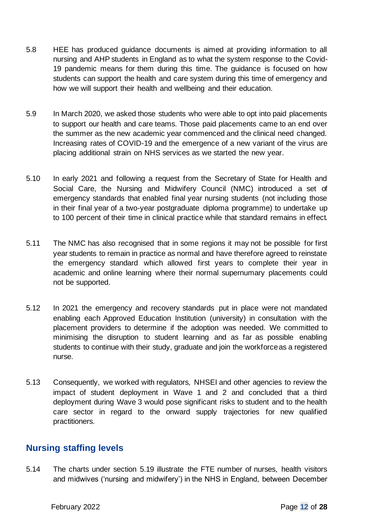- 5.8 HEE has produced guidance documents is aimed at providing information to all [nursing](https://www.hee.nhs.uk/covid-19/nursing-midwifery) [a](https://www.hee.nhs.uk/covid-19/nursing-midwifery)nd [AHP](https://www.hee.nhs.uk/covid-19/allied-health-professions) students in England as to what the system response to the Covid-19 pandemic means for them during this time. The guidance is focused on how students can support the health and care system during this time of emergency and how we will support their health and wellbeing and their education.
- 5.9 In March 2020, we asked those students who were able to opt into paid placements to support our health and care teams. Those paid placements came to an end over the summer as the new academic year commenced and the clinical need changed. Increasing rates of COVID-19 and the emergence of a new variant of the virus are placing additional strain on NHS services as we started the new year.
- 5.10 In early 2021 and following a request from the Secretary of State for Health and Social Care, the Nursing and Midwifery Council (NMC) introduced a set of emergency standards that enabled final year nursing students (not including those in their final year of a two-year postgraduate diploma programme) to undertake up to 100 percent of their time in clinical practice while that standard remains in effect.
- 5.11 The NMC has also recognised that in some regions it may not be possible for first year students to remain in practice as normal and have therefore agreed to reinstate the emergency standard which allowed first years to complete their year in academic and online learning where their normal supernumary placements could not be supported.
- 5.12 In 2021 the emergency and recovery standards put in place were not mandated enabling each Approved Education Institution (university) in consultation with the placement providers to determine if the adoption was needed. We committed to minimising the disruption to student learning and as far as possible enabling students to continue with their study, graduate and join the workforce as a registered nurse.
- 5.13 Consequently, we worked with regulators, NHSEI and other agencies to review the impact of student deployment in Wave 1 and 2 and concluded that a third deployment during Wave 3 would pose significant risks to student and to the health care sector in regard to the onward supply trajectories for new qualified practitioners.

## **Nursing staffing levels**

5.14 The charts under section 5.19 illustrate the FTE number of nurses, health visitors and midwives ('nursing and midwifery') in the NHS in England, between December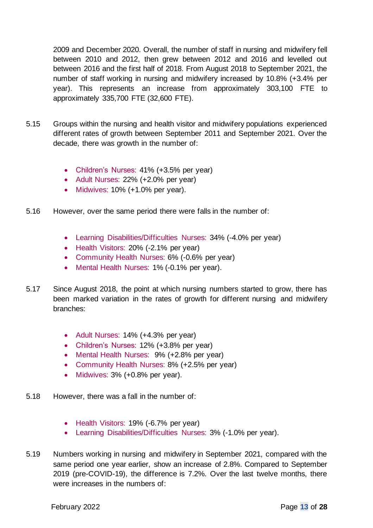2009 and December 2020. Overall, the number of staff in nursing and midwifery fell between 2010 and 2012, then grew between 2012 and 2016 and levelled out between 2016 and the first half of 2018. From August 2018 to September 2021, the number of staff working in nursing and midwifery increased by 10.8% (+3.4% per year). This represents an increase from approximately 303,100 FTE to approximately 335,700 FTE (32,600 FTE).

- 5.15 Groups within the nursing and health visitor and midwifery populations experienced different rates of growth between September 2011 and September 2021. Over the decade, there was growth in the number of:
	- Children's Nurses: 41% (+3.5% per year)
	- Adult Nurses: 22% (+2.0% per year)
	- Midwives: 10% (+1.0% per year).
- 5.16 However, over the same period there were falls in the number of:
	- Learning Disabilities/Difficulties Nurses: 34% (-4.0% per year)
	- Health Visitors: 20% (-2.1% per year)
	- Community Health Nurses: 6% (-0.6% per year)
	- Mental Health Nurses: 1% (-0.1% per year).
- 5.17 Since August 2018, the point at which nursing numbers started to grow, there has been marked variation in the rates of growth for different nursing and midwifery branches:
	- Adult Nurses: 14% (+4.3% per year)
	- Children's Nurses: 12% (+3.8% per year)
	- Mental Health Nurses: 9% (+2.8% per year)
	- Community Health Nurses: 8% (+2.5% per year)
	- Midwives: 3% (+0.8% per year).
- 5.18 However, there was a fall in the number of:
	- Health Visitors: 19% (-6.7% per year)
	- Learning Disabilities/Difficulties Nurses: 3% (-1.0% per year).
- 5.19 Numbers working in nursing and midwifery in September 2021, compared with the same period one year earlier, show an increase of 2.8%. Compared to September 2019 (pre-COVID-19), the difference is 7.2%. Over the last twelve months, there were increases in the numbers of: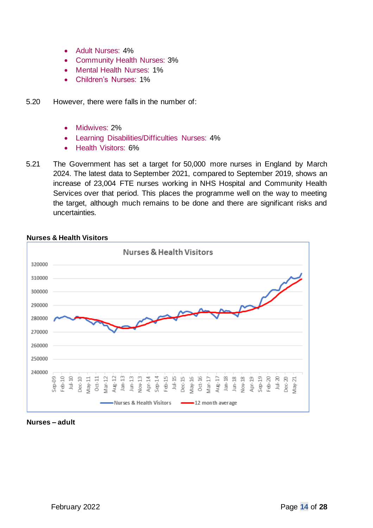- Adult Nurses: 4%
- Community Health Nurses: 3%
- Mental Health Nurses: 1%
- Children's Nurses: 1%
- 5.20 However, there were falls in the number of:
	- Midwives: 2%
	- Learning Disabilities/Difficulties Nurses: 4%
	- Health Visitors: 6%
- 5.21 The Government has set a target for 50,000 more nurses in England by March 2024. The latest data to September 2021, compared to September 2019, shows an increase of 23,004 FTE nurses working in NHS Hospital and Community Health Services over that period. This places the programme well on the way to meeting the target, although much remains to be done and there are significant risks and uncertainties.



#### **Nurses & Health Visitors**

**Nurses – adult**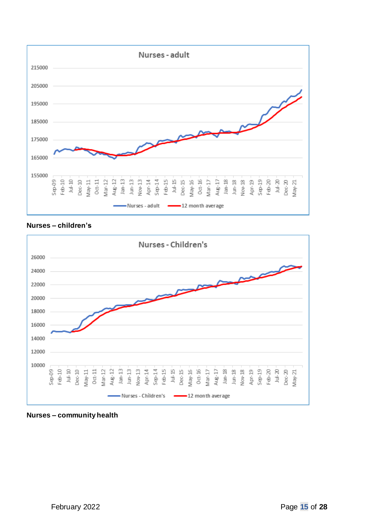





**Nurses – community health**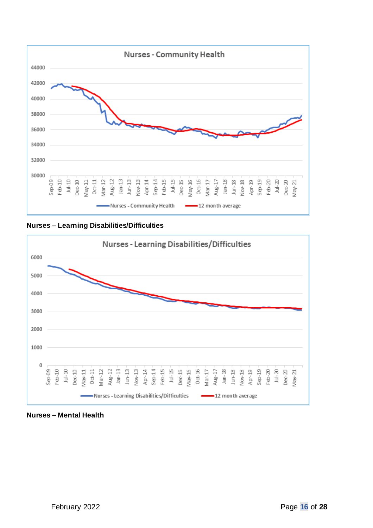

**Nurses – Learning Disabilities/Difficulties**



**Nurses – Mental Health**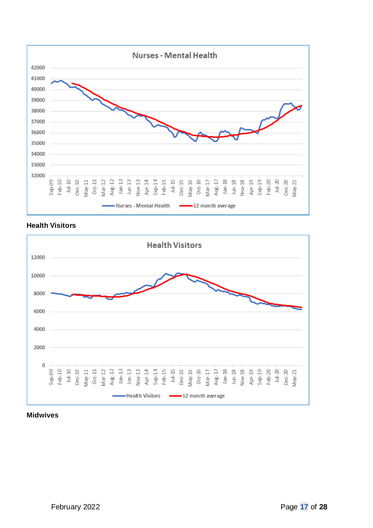

#### **Health Visitors**



#### **Midwives**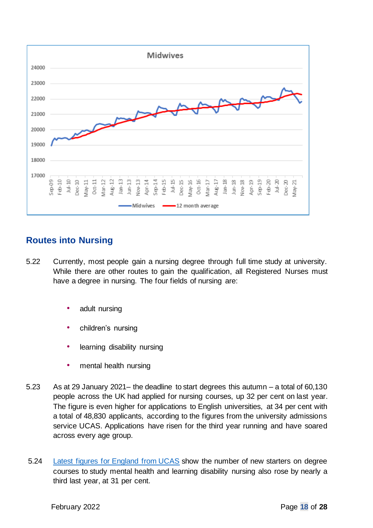

# **Routes into Nursing**

- 5.22 Currently, most people gain a nursing degree through full time study at university. While there are other routes to gain the qualification, all Registered Nurses must have a degree in nursing. The four fields of nursing are:
	- [adult nursing](https://www.healthcareers.nhs.uk/explore-roles/nursing/roles-nursing/adult-nurse)
	- [children's nursing](https://www.healthcareers.nhs.uk/explore-roles/nursing/roles-nursing/childrens-nurse)
	- [learning](https://www.healthcareers.nhs.uk/explore-roles/nursing/roles-nursing/learning-disability-nurse) [disability nursing](https://www.healthcareers.nhs.uk/explore-roles/nursing/roles-nursing/learning-disability-nurse)
	- [mental health nursing](https://www.healthcareers.nhs.uk/explore-roles/nursing/roles-nursing/mental-health-nurse)
- 5.23 As at 29 January 2021– the deadline to start degrees this autumn a total of 60,130 people across the UK had applied for nursing courses, up 32 per cent on last year. The figure is even higher for applications to English universities, at 34 per cent with a total of 48,830 applicants, according to the figures from the university admissions service UCAS. Applications have risen for the third year running and have soared across every age group.
- 5.24 [Latest figures for England from UCAS](https://www.ucas.com/next-steps-who-are-future-nurses?hash=ZlHV4VFctNT5WdPg4V1yq45O7rXDGjcnHZDmv-KjIxE) show the number of new starters on degree courses to study mental health and learning disability nursing also rose by nearly a third last year, at 31 per cent.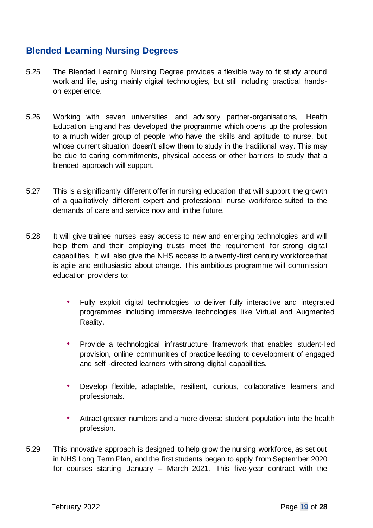# **Blended Learning Nursing Degrees**

- 5.25 The Blended Learning Nursing Degree provides a flexible way to fit study around work and life, using mainly digital technologies, but still including practical, handson experience.
- 5.26 Working with seven universities and advisory partner-organisations, Health Education England has developed the programme which opens up the profession to a much wider group of people who have the skills and aptitude to nurse, but whose current situation doesn't allow them to study in the traditional way. This may be due to caring commitments, physical access or other barriers to study that a blended approach will support.
- 5.27 This is a significantly different offer in nursing education that will support the growth of a qualitatively different expert and professional nurse workforce suited to the demands of care and service now and in the future.
- 5.28 It will give trainee nurses easy access to new and emerging technologies and will help them and their employing trusts meet the requirement for strong digital capabilities. It will also give the NHS access to a twenty-first century workforce that is agile and enthusiastic about change. This ambitious programme will commission education providers to:
	- Fully exploit digital technologies to deliver fully interactive and integrated programmes including immersive technologies like Virtual and Augmented Reality.
	- Provide a technological infrastructure framework that enables student-led provision, online communities of practice leading to development of engaged and self -directed learners with strong digital capabilities.
	- Develop flexible, adaptable, resilient, curious, collaborative learners and professionals.
	- Attract greater numbers and a more diverse student population into the health profession.
- 5.29 This innovative approach is designed to help grow the nursing workforce, as set out in NHS Long Term Plan, and the first students began to apply from September 2020 for courses starting January – March 2021. This five-year contract with the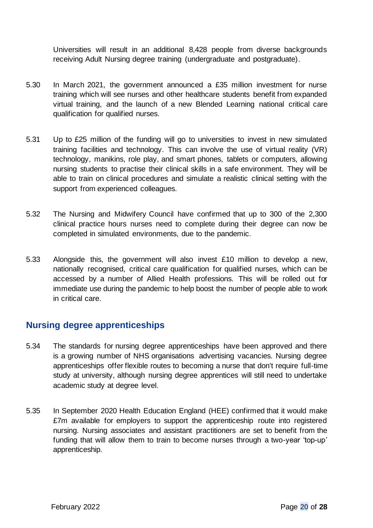Universities will result in an additional 8,428 people from diverse backgrounds receiving Adult Nursing degree training (undergraduate and postgraduate).

- 5.30 In March 2021, the government announced a £35 million investment for nurse training which will see nurses and other healthcare students benefit from expanded virtual training, and the launch of a new Blended Learning national critical care qualification for qualified nurses.
- 5.31 Up to £25 million of the funding will go to universities to invest in new simulated training facilities and technology. This can involve the use of virtual reality (VR) technology, manikins, role play, and smart phones, tablets or computers, allowing nursing students to practise their clinical skills in a safe environment. They will be able to train on clinical procedures and simulate a realistic clinical setting with the support from experienced colleagues.
- 5.32 The Nursing and Midwifery Council have confirmed that up to 300 of the 2,300 clinical practice hours nurses need to complete during their degree can now be completed in simulated environments, due to the pandemic.
- 5.33 Alongside this, the government will also invest £10 million to develop a new, nationally recognised, critical care qualification for qualified nurses, which can be accessed by a number of Allied Health professions. This will be rolled out for immediate use during the pandemic to help boost the number of people able to work in critical care.

## **Nursing degree apprenticeships**

- 5.34 The standards for nursing degree apprenticeships have been approved and there is a growing number of NHS organisations advertising vacancies. Nursing degree apprenticeships offer flexible routes to becoming a nurse that don't require full-time study at university, although nursing degree apprentices will still need to undertake academic study at degree level.
- 5.35 In September 2020 Health Education England (HEE) confirmed that it would make £7m available for employers to support the apprenticeship route into registered nursing. Nursing associates and assistant practitioners are set to benefit from the funding that will allow them to train to become nurses through a two-year 'top-up' apprenticeship.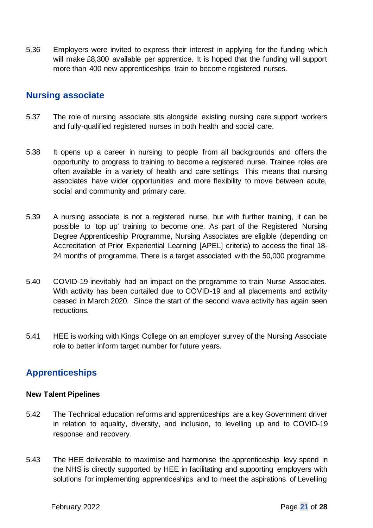5.36 Employers were invited to express their interest in applying for the funding which will make £8,300 available per apprentice. It is hoped that the funding will support more than 400 new apprenticeships train to become registered nurses.

## **Nursing associate**

- 5.37 The role of nursing associate sits alongside existing nursing care support workers and fully-qualified registered nurses in both health and social care.
- 5.38 It opens up a career in nursing to people from all backgrounds and offers the opportunity to progress to training to become a registered nurse. Trainee roles are often available in a variety of health and care settings. This means that nursing associates have wider opportunities and more flexibility to move between acute, social and community and primary care.
- 5.39 A nursing associate is not a registered nurse, but with further training, it can be possible to 'top up' training to become one. As part of the Registered Nursing Degree Apprenticeship Programme, Nursing Associates are eligible (depending on Accreditation of Prior Experiential Learning [APEL] criteria) to access the final 18- 24 months of programme. There is a target associated with the 50,000 programme.
- 5.40 COVID-19 inevitably had an impact on the programme to train Nurse Associates. With activity has been curtailed due to COVID-19 and all placements and activity ceased in March 2020. Since the start of the second wave activity has again seen reductions.
- 5.41 HEE is working with Kings College on an employer survey of the Nursing Associate role to better inform target number for future years.

# **Apprenticeships**

#### **New Talent Pipelines**

- 5.42 The Technical education reforms and apprenticeships are a key Government driver in relation to equality, diversity, and inclusion, to levelling up and to COVID-19 response and recovery.
- 5.43 The HEE deliverable to maximise and harmonise the apprenticeship levy spend in the NHS is directly supported by HEE in facilitating and supporting employers with solutions for implementing apprenticeships and to meet the aspirations of Levelling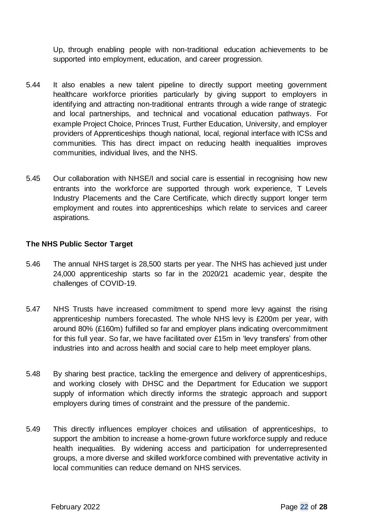Up, through enabling people with non-traditional education achievements to be supported into employment, education, and career progression.

- 5.44 It also enables a new talent pipeline to directly support meeting government healthcare workforce priorities particularly by giving support to employers in identifying and attracting non-traditional entrants through a wide range of strategic and local partnerships, and technical and vocational education pathways. For example Project Choice, Princes Trust, Further Education, University, and employer providers of Apprenticeships though national, local, regional interface with ICSs and communities. This has direct impact on reducing health inequalities improves communities, individual lives, and the NHS.
- 5.45 Our collaboration with NHSE/I and social care is essential in recognising how new entrants into the workforce are supported through work experience, T Levels Industry Placements and the Care Certificate, which directly support longer term employment and routes into apprenticeships which relate to services and career aspirations.

#### **The NHS Public Sector Target**

- 5.46 The annual NHS target is 28,500 starts per year. The NHS has achieved just under 24,000 apprenticeship starts so far in the 2020/21 academic year, despite the challenges of COVID-19.
- 5.47 NHS Trusts have increased commitment to spend more levy against the rising apprenticeship numbers forecasted. The whole NHS levy is £200m per year, with around 80% (£160m) fulfilled so far and employer plans indicating overcommitment for this full year. So far, we have facilitated over £15m in 'levy transfers' from other industries into and across health and social care to help meet employer plans.
- 5.48 By sharing best practice, tackling the emergence and delivery of apprenticeships, and working closely with DHSC and the Department for Education we support supply of information which directly informs the strategic approach and support employers during times of constraint and the pressure of the pandemic.
- 5.49 This directly influences employer choices and utilisation of apprenticeships, to support the ambition to increase a home-grown future workforce supply and reduce health inequalities. By widening access and participation for underrepresented groups, a more diverse and skilled workforce combined with preventative activity in local communities can reduce demand on NHS services.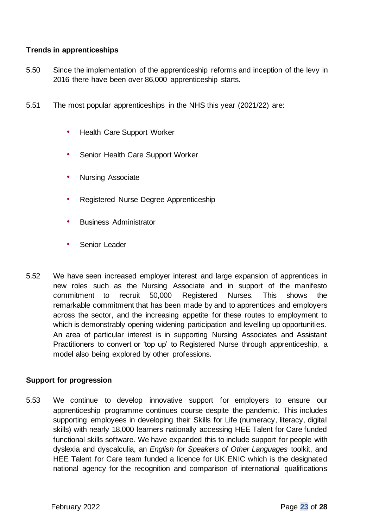#### **Trends in apprenticeships**

- 5.50 Since the implementation of the apprenticeship reforms and inception of the levy in 2016 there have been over 86,000 apprenticeship starts.
- 5.51 The most popular apprenticeships in the NHS this year (2021/22) are:
	- Health Care Support Worker
	- Senior Health Care Support Worker
	- Nursing Associate
	- Registered Nurse Degree Apprenticeship
	- Business Administrator
	- Senior Leader
- 5.52 We have seen increased employer interest and large expansion of apprentices in new roles such as the Nursing Associate and in support of the manifesto commitment to recruit 50,000 Registered Nurses. This shows the remarkable commitment that has been made by and to apprentices and employers across the sector, and the increasing appetite for these routes to employment to which is demonstrably opening widening participation and levelling up opportunities. An area of particular interest is in supporting Nursing Associates and Assistant Practitioners to convert or 'top up' to Registered Nurse through apprenticeship, a model also being explored by other professions.

#### **Support for progression**

5.53 We continue to develop innovative support for employers to ensure our apprenticeship programme continues course despite the pandemic. This includes supporting employees in developing their Skills for Life (numeracy, literacy, digital skills) with nearly 18,000 learners nationally accessing HEE Talent for Care funded functional skills software. We have expanded this to include support for people with dyslexia and dyscalculia, an *English for Speakers of Other Languages* toolkit, and HEE Talent for Care team funded a licence for UK ENIC which is the designated national agency for the recognition and comparison of international qualifications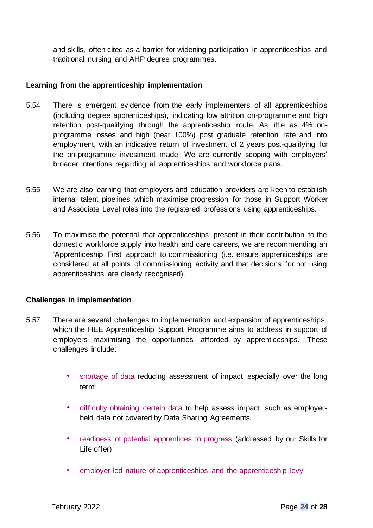and skills, often cited as a barrier for widening participation in apprenticeships and traditional nursing and AHP degree programmes.

#### **Learning from the apprenticeship implementation**

- 5.54 There is emergent evidence from the early implementers of all apprenticeships (including degree apprenticeships), indicating low attrition on-programme and high retention post-qualifying through the apprenticeship route. As little as 4% onprogramme losses and high (near 100%) post graduate retention rate and into employment, with an indicative return of investment of 2 years post-qualifying for the on-programme investment made. We are currently scoping with employers' broader intentions regarding all apprenticeships and workforce plans.
- 5.55 We are also learning that employers and education providers are keen to establish internal talent pipelines which maximise progression for those in Support Worker and Associate Level roles into the registered professions using apprenticeships.
- 5.56 To maximise the potential that apprenticeships present in their contribution to the domestic workforce supply into health and care careers, we are recommending an 'Apprenticeship First' approach to commissioning (i.e. ensure apprenticeships are considered at all points of commissioning activity and that decisions for not using apprenticeships are clearly recognised).

#### **Challenges in implementation**

- 5.57 There are several challenges to implementation and expansion of apprenticeships, which the HEE Apprenticeship Support Programme aims to address in support of employers maximising the opportunities afforded by apprenticeships. These challenges include:
	- shortage of data reducing assessment of impact, especially over the long term
	- difficulty obtaining certain data to help assess impact, such as employerheld data not covered by Data Sharing Agreements.
	- readiness of potential apprentices to progress (addressed by our Skills for Life offer)
	- employer-led nature of apprenticeships and the apprenticeship levy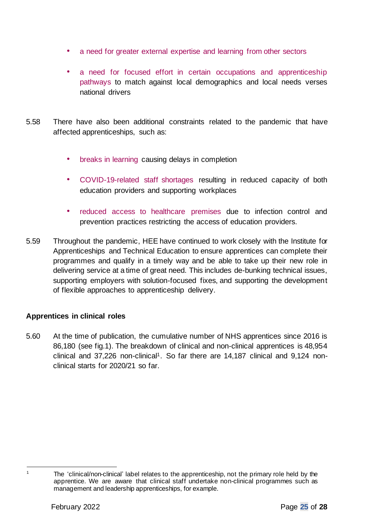- a need for greater external expertise and learning from other sectors
- a need for focused effort in certain occupations and apprenticeship pathways to match against local demographics and local needs verses national drivers
- 5.58 There have also been additional constraints related to the pandemic that have affected apprenticeships, such as:
	- breaks in learning causing delays in completion
	- COVID-19-related staff shortages resulting in reduced capacity of both education providers and supporting workplaces
	- reduced access to healthcare premises due to infection control and prevention practices restricting the access of education providers.
- 5.59 Throughout the pandemic, HEE have continued to work closely with the Institute for Apprenticeships and Technical Education to ensure apprentices can complete their programmes and qualify in a timely way and be able to take up their new role in delivering service at a time of great need. This includes de-bunking technical issues, supporting employers with solution-focused fixes, and supporting the development of flexible approaches to apprenticeship delivery.

#### **Apprentices in clinical roles**

5.60 At the time of publication, the cumulative number of NHS apprentices since 2016 is 86,180 (see fig.1). The breakdown of clinical and non-clinical apprentices is 48,954 clinical and 37,226 non-clinical<sup>1</sup>. So far there are 14,187 clinical and 9,124 nonclinical starts for 2020/21 so far.

<sup>&</sup>lt;sup>1</sup> The 'clinical/non-clinical' label relates to the apprenticeship, not the primary role held by the apprentice. We are aware that clinical staff undertake non-clinical programmes such as management and leadership apprenticeships, for example.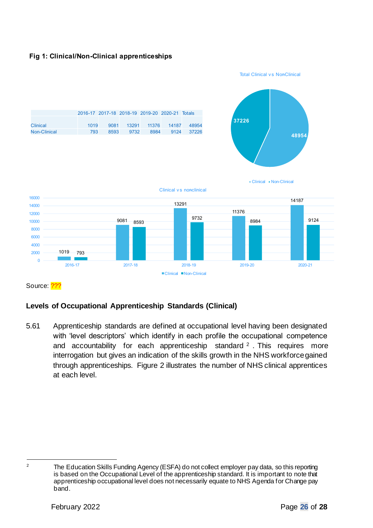



Source: 2??

#### **Levels of Occupational Apprenticeship Standards (Clinical)**

5.61 Apprenticeship standards are defined at occupational level having been designated with 'level descriptors' which identify in each profile the occupational competence and accountability for each apprenticeship standard  $2$ . This requires more interrogation but gives an indication of the skills growth in the NHS workforce gained through apprenticeships. Figure 2 illustrates the number of NHS clinical apprentices at each level.

<sup>&</sup>lt;sup>2</sup> The Education Skills Funding Agency (ESFA) do not collect employer pay data, so this reporting is based on the Occupational Level of the apprenticeship standard. It is important to note that apprenticeship occupational level does not necessarily equate to NHS Agenda for Change pay band.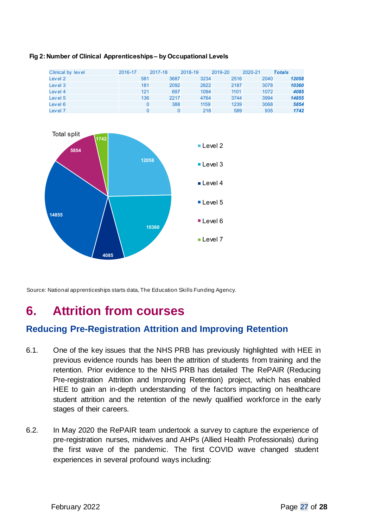| Clinical by level | 2016-17 | 2017-18 |      | 2018-19 | 2019-20 | 2020-21 | <b>Totals</b> |
|-------------------|---------|---------|------|---------|---------|---------|---------------|
| Level 2           |         | 581     | 3687 | 3234    | 2516    | 2040    | 12058         |
| Level 3           |         | 181     | 2092 | 2822    | 2187    | 3078    | 10360         |
| Level 4           |         | 121     | 697  | 1094    | 1101    | 1072    | 4085          |
| Level 5           |         | 136     | 2217 | 4764    | 3744    | 3994    | 14855         |
| Level 6           |         |         | 388  | 1159    | 1239    | 3068    | 5854          |
| Level 7           |         |         | 0    | 218     | 589     | 935     | 1742          |

#### Fig 2: Number of Clinical Apprenticeships - by Occupational Levels



Source: National apprenticeships starts data, The Education Skills Funding Agency.

# **6. Attrition from courses**

# **Reducing Pre-Registration Attrition and Improving Retention**

- 6.1. One of the key issues that the NHS PRB has previously highlighted with HEE in previous evidence rounds has been the attrition of students from training and the retention. Prior evidence to the NHS PRB has detailed The RePAIR (Reducing Pre-registration Attrition and Improving Retention) project, which has enabled HEE to gain an in-depth understanding of the factors impacting on healthcare student attrition and the retention of the newly qualified workforce in the early stages of their careers.
- 6.2. In May 2020 the RePAIR team undertook a survey to capture the experience of pre-registration nurses, midwives and AHPs (Allied Health Professionals) during the first wave of the pandemic. The first COVID wave changed student experiences in several profound ways including: